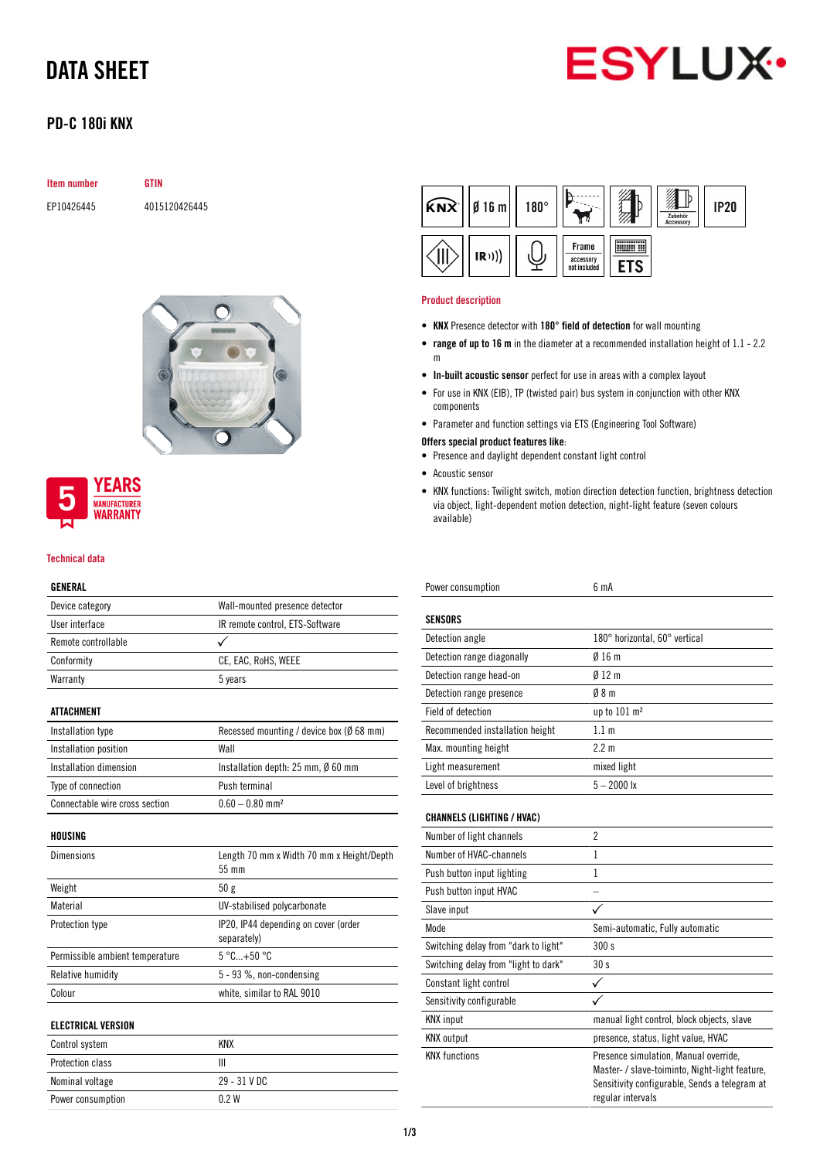# DATA SHEET



## PD-C 180i KNX

| <b>Item number</b> | <b>GTIN</b>   |
|--------------------|---------------|
| EP10426445         | 4015120426445 |



## **YEARS MANUFACTURER WARRANTY**

#### Technical data

### GENERAL

| Device category                 | Wall-mounted presence detector                      |
|---------------------------------|-----------------------------------------------------|
| User interface                  | IR remote control, ETS-Software                     |
| Remote controllable             |                                                     |
| Conformity                      | CE, EAC, RoHS, WEEE                                 |
| Warranty                        | 5 years                                             |
| <b>ATTACHMENT</b>               |                                                     |
| Installation type               | Recessed mounting / device box ( $\emptyset$ 68 mm) |
| Installation position           | Wall                                                |
| Installation dimension          | Installation depth: 25 mm, Ø 60 mm                  |
| Type of connection              | Push terminal                                       |
| Connectable wire cross section  | $0.60 - 0.80$ mm <sup>2</sup>                       |
| HOUSING                         |                                                     |
| <b>Dimensions</b>               | Length 70 mm x Width 70 mm x Height/Depth<br>55 mm  |
| Weight                          | 50 g                                                |
| Material                        | UV-stabilised polycarbonate                         |
| Protection type                 | IP20, IP44 depending on cover (order<br>separately) |
| Permissible ambient temperature | $5^{\circ}$ C +50 $^{\circ}$ C                      |
| Relative humidity               | 5 - 93 %, non-condensing                            |
| Colour                          | white, similar to RAL 9010                          |
| <b>ELECTRICAL VERSION</b>       |                                                     |
| Control system                  | <b>KNX</b>                                          |
| Protection class                | Ш                                                   |
| Nominal voltage                 | 29 - 31 V DC                                        |

Power consumption 0.2 W

| $\widehat{KNX}$   $\beta$ 16 m | $180^\circ$ |                                    | Zubehör<br>Accessory | <b>IP20</b> |
|--------------------------------|-------------|------------------------------------|----------------------|-------------|
| (R))                           |             | Frame<br>accessory<br>not included |                      |             |

### Product description

- KNX Presence detector with 180° field of detection for wall mounting
- range of up to 16 m in the diameter at a recommended installation height of 1.1 2.2 m
- In-built acoustic sensor perfect for use in areas with a complex layout
- For use in KNX (EIB), TP (twisted pair) bus system in conjunction with other KNX components
- Parameter and function settings via ETS (Engineering Tool Software)
- Offers special product features like:
- Presence and daylight dependent constant light control
- Acoustic sensor
- KNX functions: Twilight switch, motion direction detection function, brightness detection via object, light-dependent motion detection, night-light feature (seven colours available)

| Power consumption                 | 6 mA                          |
|-----------------------------------|-------------------------------|
| <b>SENSORS</b>                    |                               |
| Detection angle                   | 180° horizontal, 60° vertical |
| Detection range diagonally        | $\emptyset$ 16 m              |
| Detection range head-on           | 012 <sub>m</sub>              |
| Detection range presence          | 08 <sub>m</sub>               |
| Field of detection                | up to $101 \text{ m}^2$       |
| Recommended installation height   | 1.1 <sub>m</sub>              |
| Max. mounting height              | 2.2 m                         |
| Light measurement                 | mixed light                   |
| Level of brightness               | $5 - 2000$ lx                 |
| <b>CHANNELS (LIGHTING / HVAC)</b> |                               |
| Number of light channels          | $\overline{2}$                |

| Number of light channels             | $\overline{2}$                                                                                                                                                |
|--------------------------------------|---------------------------------------------------------------------------------------------------------------------------------------------------------------|
| Number of HVAC-channels              | 1                                                                                                                                                             |
| Push button input lighting           | 1                                                                                                                                                             |
| Push button input HVAC               |                                                                                                                                                               |
| Slave input                          |                                                                                                                                                               |
| Mode                                 | Semi-automatic, Fully automatic                                                                                                                               |
| Switching delay from "dark to light" | 300 s                                                                                                                                                         |
| Switching delay from "light to dark" | 30s                                                                                                                                                           |
| Constant light control               |                                                                                                                                                               |
| Sensitivity configurable             |                                                                                                                                                               |
| <b>KNX</b> input                     | manual light control, block objects, slave                                                                                                                    |
| <b>KNX</b> output                    | presence, status, light value, HVAC                                                                                                                           |
| <b>KNX</b> functions                 | Presence simulation, Manual override,<br>Master- / slave-toiminto, Night-light feature,<br>Sensitivity configurable, Sends a telegram at<br>regular intervals |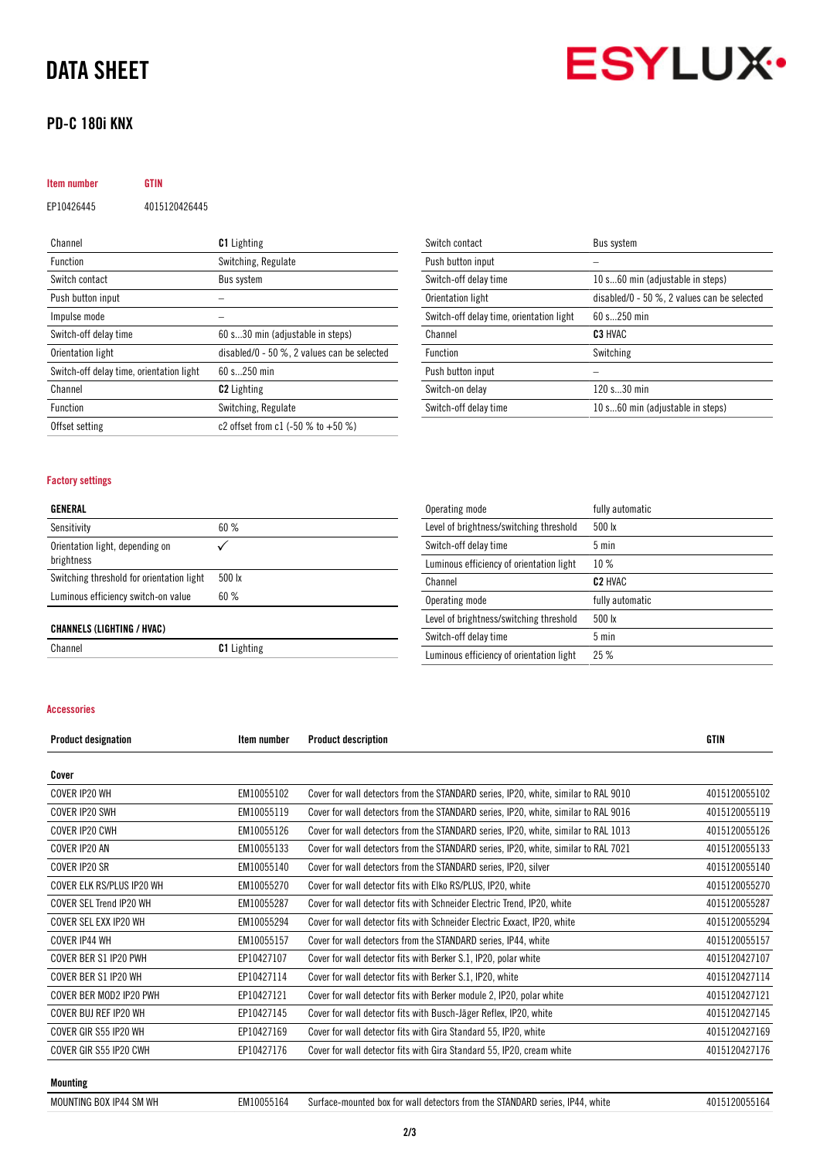# DATA SHEET

## PD-C 180i KNX



| Item number                              | GTIN          |                                                 |
|------------------------------------------|---------------|-------------------------------------------------|
| EP10426445                               | 4015120426445 |                                                 |
|                                          |               |                                                 |
| Channel                                  |               | <b>C1</b> Lighting                              |
| <b>Function</b>                          |               | Switching, Regulate                             |
| Switch contact                           |               | <b>Bus system</b>                               |
| Push button input                        |               |                                                 |
| Impulse mode                             |               |                                                 |
| Switch-off delay time                    |               | 60 s30 min (adjustable in steps)                |
| Orientation light                        |               | disabled/0 - 50 $\%$ , 2 values can be selected |
| Switch-off delay time, orientation light |               | 60 s250 min                                     |
| Channel                                  |               | <b>C2</b> Lighting                              |
| <b>Function</b>                          |               | Switching, Regulate                             |
| Offset setting                           |               | c2 offset from c1 (-50 % to +50 %)              |

| Switch contact                           | Bus system                                      |
|------------------------------------------|-------------------------------------------------|
| Push button input                        |                                                 |
| Switch-off delay time                    | 10 s60 min (adjustable in steps)                |
| Orientation light                        | disabled/0 - 50 $\%$ , 2 values can be selected |
| Switch-off delay time, orientation light | $60 s$ 250 min                                  |
|                                          |                                                 |
| Channel                                  | C <sub>3</sub> HVAC                             |
| Function                                 | Switching                                       |
| Push button input                        |                                                 |
| Switch-on delay                          | 120 s30 min                                     |

### Factory settings

|--|

| Sensitivity                                   | 60%                |
|-----------------------------------------------|--------------------|
| Orientation light, depending on<br>brightness |                    |
| Switching threshold for orientation light     | $500 \text{lx}$    |
| Luminous efficiency switch-on value           | 60%                |
| <b>CHANNELS (LIGHTING / HVAC)</b>             |                    |
| Channel                                       | <b>C1</b> Lighting |

| Operating mode                           | fully automatic     |
|------------------------------------------|---------------------|
| Level of brightness/switching threshold  | 500 lx              |
| Switch-off delay time                    | $5 \text{ min}$     |
| Luminous efficiency of orientation light | 10%                 |
| Channel                                  | C <sub>2</sub> HVAC |
| Operating mode                           | fully automatic     |
| Level of brightness/switching threshold  | 500 lx              |
| Switch-off delay time                    | $5 \text{ min}$     |
| Luminous efficiency of orientation light | 25%                 |

#### Accessories

| <b>Product designation</b> | Item number | <b>Product description</b>                                                          | GTIN          |
|----------------------------|-------------|-------------------------------------------------------------------------------------|---------------|
| Cover                      |             |                                                                                     |               |
| COVER IP20 WH              | EM10055102  | Cover for wall detectors from the STANDARD series, IP20, white, similar to RAL 9010 | 4015120055102 |
| COVER IP20 SWH             | EM10055119  | Cover for wall detectors from the STANDARD series, IP20, white, similar to RAL 9016 | 4015120055119 |
| COVER IP20 CWH             | EM10055126  | Cover for wall detectors from the STANDARD series, IP20, white, similar to RAL 1013 | 4015120055126 |
| COVER IP20 AN              | EM10055133  | Cover for wall detectors from the STANDARD series, IP20, white, similar to RAL 7021 | 4015120055133 |
| COVER IP20 SR              | EM10055140  | Cover for wall detectors from the STANDARD series, IP20, silver                     | 4015120055140 |
| COVER ELK RS/PLUS IP20 WH  | EM10055270  | Cover for wall detector fits with Elko RS/PLUS, IP20, white                         | 4015120055270 |
| COVER SEL Trend IP20 WH    | EM10055287  | Cover for wall detector fits with Schneider Electric Trend, IP20, white             | 4015120055287 |
| COVER SEL EXX IP20 WH      | EM10055294  | Cover for wall detector fits with Schneider Electric Exxact, IP20, white            | 4015120055294 |
| <b>COVER IP44 WH</b>       | EM10055157  | Cover for wall detectors from the STANDARD series, IP44, white                      | 4015120055157 |
| COVER BER S1 IP20 PWH      | EP10427107  | Cover for wall detector fits with Berker S.1, IP20, polar white                     | 4015120427107 |
| COVER BER S1 IP20 WH       | EP10427114  | Cover for wall detector fits with Berker S.1, IP20, white                           | 4015120427114 |
| COVER BER MOD2 IP20 PWH    | EP10427121  | Cover for wall detector fits with Berker module 2, IP20, polar white                | 4015120427121 |
| COVER BUJ REF IP20 WH      | EP10427145  | Cover for wall detector fits with Busch-Jäger Reflex, IP20, white                   | 4015120427145 |
| COVER GIR S55 IP20 WH      | EP10427169  | Cover for wall detector fits with Gira Standard 55, IP20, white                     | 4015120427169 |
| COVER GIR S55 IP20 CWH     | EP10427176  | Cover for wall detector fits with Gira Standard 55, IP20, cream white               | 4015120427176 |

#### Mounting

MOUNTING BOX IP44 SM WH EM10055164 Surface-mounted box for wall detectors from the STANDARD series, IP44, white 4015120055164